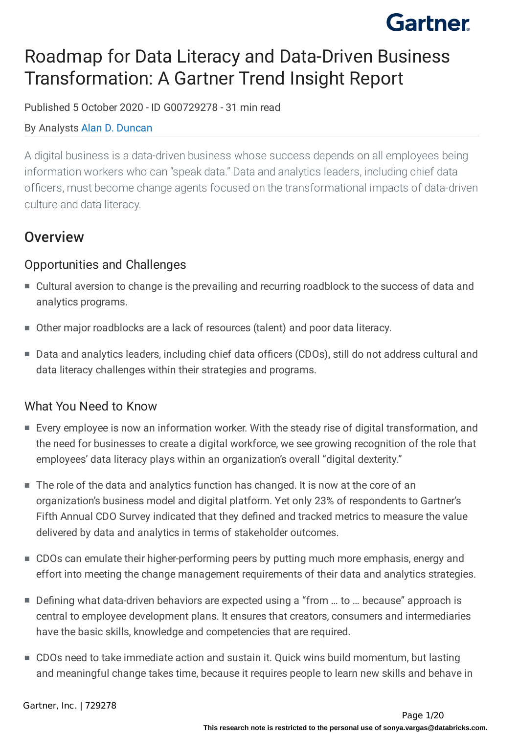## Roadmap for Data Literacy and Data-Driven Business Transformation: A Gartner Trend Insight Report

Published 5 October 2020 - ID G00729278 - 31 min read

#### By Analysts Alan D. [Duncan](https://www.gartner.com/analyst/51402)

A digital business is a data-driven business whose success depends on all employees being information workers who can "speak data." Data and analytics leaders, including chief data officers, must become change agents focused on the transformational impacts of data-driven culture and data literacy.

## **Overview**

### Opportunities and Challenges

- Cultural aversion to change is the prevailing and recurring roadblock to the success of data and analytics programs.
- Other major roadblocks are a lack of resources (talent) and poor data literacy.
- Data and analytics leaders, including chief data officers (CDOs), still do not address cultural and data literacy challenges within their strategies and programs.

### What You Need to Know

- Every employee is now an information worker. With the steady rise of digital transformation, and the need for businesses to create a digital workforce, we see growing recognition of the role that employees' data literacy plays within an organization's overall "digital dexterity."
- The role of the data and analytics function has changed. It is now at the core of an organization's business model and digital platform. Yet only 23% of respondents to Gartner's Fifth Annual CDO Survey indicated that they defined and tracked metrics to measure the value delivered by data and analytics in terms of stakeholder outcomes.
- CDOs can emulate their higher-performing peers by putting much more emphasis, energy and effort into meeting the change management requirements of their data and analytics strategies.
- Defining what data-driven behaviors are expected using a "from ... to ... because" approach is central to employee development plans. It ensures that creators, consumers and intermediaries have the basic skills, knowledge and competencies that are required.
- CDOs need to take immediate action and sustain it. Quick wins build momentum, but lasting and meaningful change takes time, because it requires people to learn new skills and behave in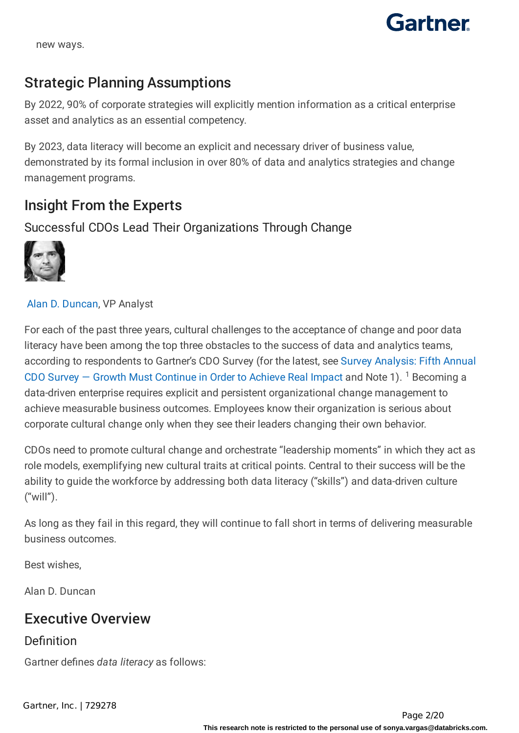

new ways.

## Strategic Planning Assumptions

By 2022, 90% of corporate strategies will explicitly mention information as a critical enterprise asset and analytics as an essential competency.

By 2023, data literacy will become an explicit and necessary driver of business value, demonstrated by its formal inclusion in over 80% of data and analytics strategies and change management programs.

## Insight From the Experts

Successful CDOs Lead Their Organizations Through Change



#### Alan D. [Duncan,](https://www.gartner.com/analyst/51402) VP Analyst

For each of the past three years, cultural challenges to the acceptance of change and poor data literacy have been among the top three obstacles to the success of data and analytics teams, according to respondents to Gartner's CDO Survey (for the latest, see Survey Analysis: Fifth Annual CDO Survey  $-$  Growth Must Continue in Order to Achieve Real Impact and Note 1). <sup>1</sup> Becoming a data-driven enterprise requires explicit and persistent organizational change management to achieve measurable business outcomes. Employees know their organization is serious about corporate cultural change only when they see their leaders changing their own behavior.

CDOs need to promote cultural change and orchestrate "leadership moments" in which they act as role models, exemplifying new cultural traits at critical points. Central to their success will be the ability to guide the workforce by addressing both data literacy ("skills") and data-driven culture ("will").

As long as they fail in this regard, they will continue to fall short in terms of delivering measurable business outcomes.

Best wishes,

Alan D. Duncan

## Executive Overview

#### Definition

Gartner defines *data literacy* as follows: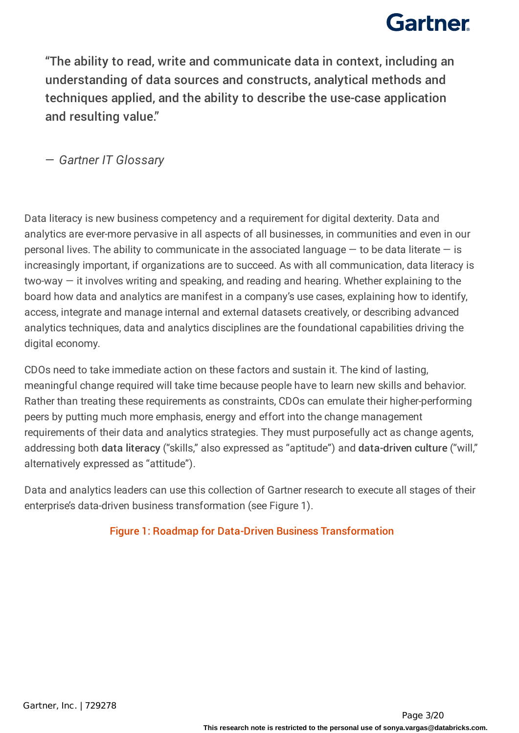"The ability to read, write and communicate data in context, including an understanding of data sources and constructs, analytical methods and techniques applied, and the ability to describe the use-case application and resulting value."

*— Gartner IT Glossary*

Data literacy is new business competency and a requirement for digital dexterity. Data and analytics are ever-more pervasive in all aspects of all businesses, in communities and even in our personal lives. The ability to communicate in the associated language  $-$  to be data literate  $-$  is increasingly important, if organizations are to succeed. As with all communication, data literacy is two-way — it involves writing and speaking, and reading and hearing. Whether explaining to the board how data and analytics are manifest in a company's use cases, explaining how to identify, access, integrate and manage internal and external datasets creatively, or describing advanced analytics techniques, data and analytics disciplines are the foundational capabilities driving the digital economy.

CDOs need to take immediate action on these factors and sustain it. The kind of lasting, meaningful change required will take time because people have to learn new skills and behavior. Rather than treating these requirements as constraints, CDOs can emulate their higher-performing peers by putting much more emphasis, energy and effort into the change management requirements of their data and analytics strategies. They must purposefully act as change agents, addressing both data literacy ("skills," also expressed as "aptitude") and data-driven culture ("will," alternatively expressed as "attitude").

Data and analytics leaders can use this collection of Gartner research to execute all stages of their enterprise's data-driven business transformation (see Figure 1).

#### Figure 1: Roadmap for Data-Driven Business Transformation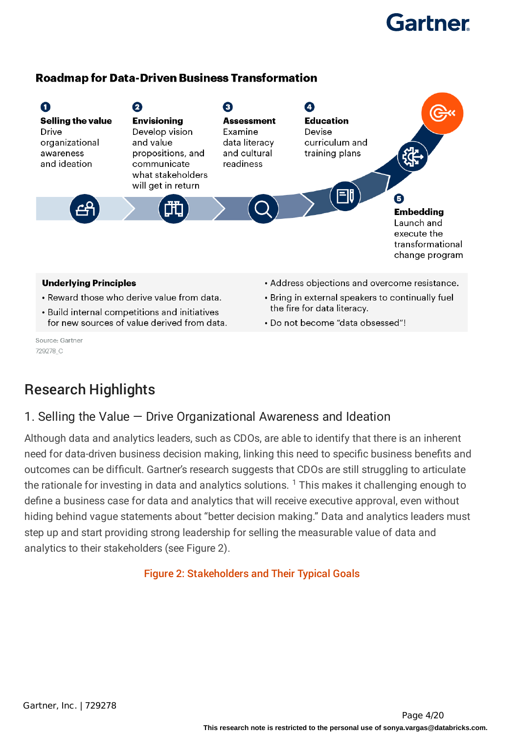#### **Roadmap for Data-Driven Business Transformation**



- Reward those who derive value from data.
- Build internal competitions and initiatives for new sources of value derived from data.

Source: Gartner 729278 C

- Bring in external speakers to continually fuel the fire for data literacy.
- Do not become "data obsessed"!

## Research Highlights

### 1. Selling the Value — Drive Organizational Awareness and Ideation

Although data and analytics leaders, such as CDOs, are able to identify that there is an inherent need for data-driven business decision making, linking this need to specific business benefits and outcomes can be difficult. Gartner's research suggests that CDOs are still struggling to articulate the rationale for investing in data and analytics solutions.  $^1$  This makes it challenging enough to define a business case for data and analytics that will receive executive approval, even without hiding behind vague statements about "better decision making." Data and analytics leaders must step up and start providing strong leadership for selling the measurable value of data and analytics to their stakeholders (see Figure 2).

#### Figure 2: Stakeholders and Their Typical Goals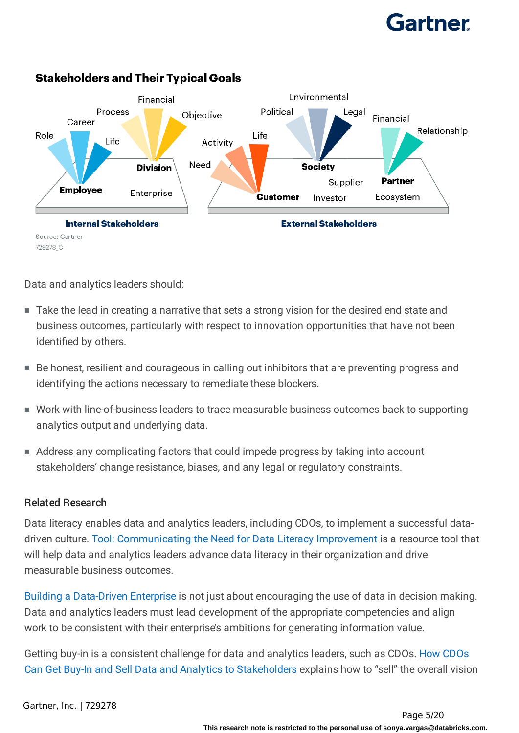

### **Stakeholders and Their Typical Goals**

Data and analytics leaders should:

- Take the lead in creating a narrative that sets a strong vision for the desired end state and business outcomes, particularly with respect to innovation opportunities that have not been identified by others.
- Be honest, resilient and courageous in calling out inhibitors that are preventing progress and identifying the actions necessary to remediate these blockers.
- Work with line-of-business leaders to trace measurable business outcomes back to supporting analytics output and underlying data.
- Address any complicating factors that could impede progress by taking into account stakeholders' change resistance, biases, and any legal or regulatory constraints.

#### Related Research

Data literacy enables data and analytics leaders, including CDOs, to implement a successful datadriven culture. Tool: Communicating the Need for Data Literacy Improvement is a resource tool that will help data and analytics leaders advance data literacy in their organization and drive measurable business outcomes.

Building a Data-Driven Enterprise is not just about encouraging the use of data in decision making. Data and analytics leaders must lead development of the appropriate competencies and align work to be consistent with their enterprise's ambitions for generating information value.

Getting buy-in is a consistent challenge for data and analytics leaders, such as CDOs. How CDOs Can Get Buy-In and Sell Data and Analytics to Stakeholders explains how to "sell" the overall vision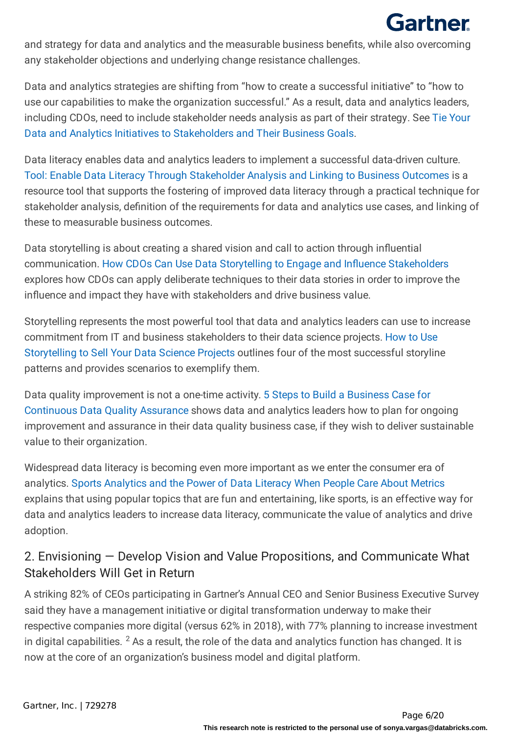and strategy for data and analytics and the measurable business benefits, while also overcoming any stakeholder objections and underlying change resistance challenges.

Data and analytics strategies are shifting from "how to create a successful initiative" to "how to use our capabilities to make the organization successful." As a result, data and analytics leaders, including CDOs, need to include stakeholder needs analysis as part of their strategy. See Tie Your Data and Analytics Initiatives to Stakeholders and Their Business Goals.

Data literacy enables data and analytics leaders to implement a successful data-driven culture. Tool: Enable Data Literacy Through Stakeholder Analysis and Linking to Business Outcomes is a resource tool that supports the fostering of improved data literacy through a practical technique for stakeholder analysis, definition of the requirements for data and analytics use cases, and linking of these to measurable business outcomes.

Data storytelling is about creating a shared vision and call to action through influential communication. How CDOs Can Use Data Storytelling to Engage and Influence Stakeholders explores how CDOs can apply deliberate techniques to their data stories in order to improve the influence and impact they have with stakeholders and drive business value.

Storytelling represents the most powerful tool that data and analytics leaders can use to increase commitment from IT and business stakeholders to their data science projects. How to Use Storytelling to Sell Your Data Science Projects outlines four of the most successful storyline patterns and provides scenarios to exemplify them.

Data quality improvement is not a one-time activity. 5 Steps to Build a Business Case for Continuous Data Quality Assurance shows data and analytics leaders how to plan for ongoing improvement and assurance in their data quality business case, if they wish to deliver sustainable value to their organization.

Widespread data literacy is becoming even more important as we enter the consumer era of analytics. Sports Analytics and the Power of Data Literacy When People Care About Metrics explains that using popular topics that are fun and entertaining, like sports, is an effective way for data and analytics leaders to increase data literacy, communicate the value of analytics and drive adoption.

## 2. Envisioning — Develop Vision and Value Propositions, and Communicate What Stakeholders Will Get in Return

A striking 82% of CEOs participating in Gartner's Annual CEO and Senior Business Executive Survey said they have a management initiative or digital transformation underway to make their respective companies more digital (versus 62% in 2018), with 77% planning to increase investment in digital capabilities.  $^2$  As a result, the role of the data and analytics function has changed. It is now at the core of an organization's business model and digital platform.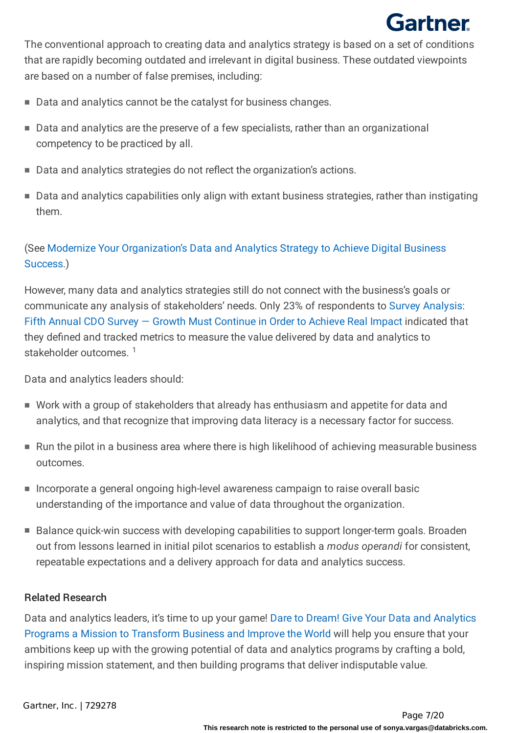The conventional approach to creating data and analytics strategy is based on a set of conditions that are rapidly becoming outdated and irrelevant in digital business. These outdated viewpoints are based on a number of false premises, including:

- Data and analytics cannot be the catalyst for business changes.
- Data and analytics are the preserve of a few specialists, rather than an organizational competency to be practiced by all.
- Data and analytics strategies do not reflect the organization's actions.
- Data and analytics capabilities only align with extant business strategies, rather than instigating them.

### (See Modernize Your Organization's Data and Analytics Strategy to Achieve Digital Business Success.)

However, many data and analytics strategies still do not connect with the business's goals or communicate any analysis of stakeholders' needs. Only 23% of respondents to Survey Analysis: Fifth Annual CDO Survey — Growth Must Continue in Order to Achieve Real Impact indicated that they defined and tracked metrics to measure the value delivered by data and analytics to stakeholder outcomes.<sup>1</sup>

Data and analytics leaders should:

- Work with a group of stakeholders that already has enthusiasm and appetite for data and analytics, and that recognize that improving data literacy is a necessary factor for success.
- Run the pilot in a business area where there is high likelihood of achieving measurable business outcomes.
- Incorporate a general ongoing high-level awareness campaign to raise overall basic understanding of the importance and value of data throughout the organization.
- Balance quick-win success with developing capabilities to support longer-term goals. Broaden out from lessons learned in initial pilot scenarios to establish a *modus operandi* for consistent, repeatable expectations and a delivery approach for data and analytics success.

#### Related Research

Data and analytics leaders, it's time to up your game! Dare to Dream! Give Your Data and Analytics Programs a Mission to Transform Business and Improve the World will help you ensure that your ambitions keep up with the growing potential of data and analytics programs by crafting a bold, inspiring mission statement, and then building programs that deliver indisputable value.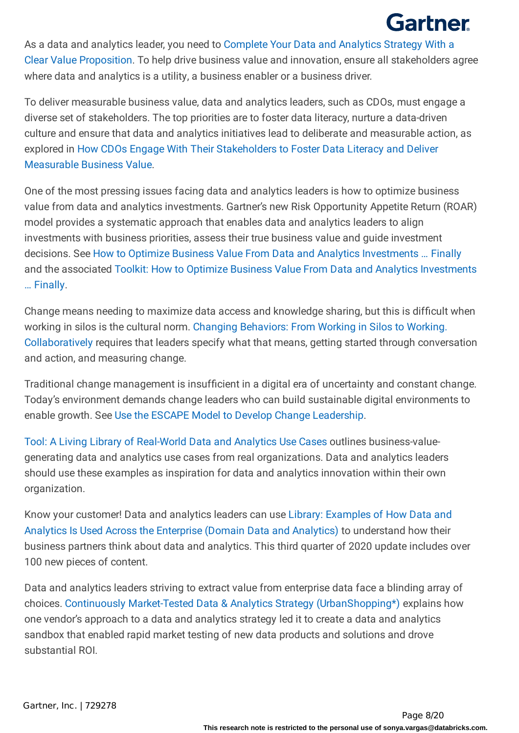As a data and analytics leader, you need to Complete Your Data and Analytics Strategy With a Clear Value Proposition. To help drive business value and innovation, ensure all stakeholders agree where data and analytics is a utility, a business enabler or a business driver.

To deliver measurable business value, data and analytics leaders, such as CDOs, must engage a diverse set of stakeholders. The top priorities are to foster data literacy, nurture a data-driven culture and ensure that data and analytics initiatives lead to deliberate and measurable action, as explored in How CDOs Engage With Their Stakeholders to Foster Data Literacy and Deliver Measurable Business Value.

One of the most pressing issues facing data and analytics leaders is how to optimize business value from data and analytics investments. Gartner's new Risk Opportunity Appetite Return (ROAR) model provides a systematic approach that enables data and analytics leaders to align investments with business priorities, assess their true business value and guide investment decisions. See How to Optimize Business Value From Data and Analytics Investments … Finally and the associated Toolkit: How to Optimize Business Value From Data and Analytics Investments … Finally.

Change means needing to maximize data access and knowledge sharing, but this is difficult when working in silos is the cultural norm. Changing Behaviors: From Working in Silos to Working. Collaboratively requires that leaders specify what that means, getting started through conversation and action, and measuring change.

Traditional change management is insufficient in a digital era of uncertainty and constant change. Today's environment demands change leaders who can build sustainable digital environments to enable growth. See Use the ESCAPE Model to Develop Change Leadership.

Tool: A Living Library of Real-World Data and Analytics Use Cases outlines business-valuegenerating data and analytics use cases from real organizations. Data and analytics leaders should use these examples as inspiration for data and analytics innovation within their own organization.

Know your customer! Data and analytics leaders can use Library: Examples of How Data and Analytics Is Used Across the Enterprise (Domain Data and Analytics) to understand how their business partners think about data and analytics. This third quarter of 2020 update includes over 100 new pieces of content.

Data and analytics leaders striving to extract value from enterprise data face a blinding array of choices. Continuously Market-Tested Data & Analytics Strategy (UrbanShopping\*) explains how one vendor's approach to a data and analytics strategy led it to create a data and analytics sandbox that enabled rapid market testing of new data products and solutions and drove substantial ROI.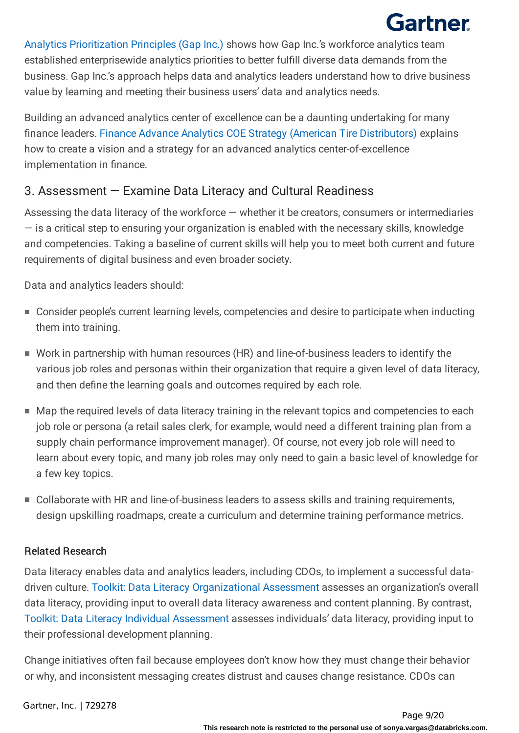Analytics Prioritization Principles (Gap Inc.) shows how Gap Inc.'s workforce analytics team established enterprisewide analytics priorities to better fulfill diverse data demands from the business. Gap Inc.'s approach helps data and analytics leaders understand how to drive business value by learning and meeting their business users' data and analytics needs.

Building an advanced analytics center of excellence can be a daunting undertaking for many finance leaders. Finance Advance Analytics COE Strategy (American Tire Distributors) explains how to create a vision and a strategy for an advanced analytics center-of-excellence implementation in finance.

### 3. Assessment — Examine Data Literacy and Cultural Readiness

Assessing the data literacy of the workforce — whether it be creators, consumers or intermediaries  $-$  is a critical step to ensuring your organization is enabled with the necessary skills, knowledge and competencies. Taking a baseline of current skills will help you to meet both current and future requirements of digital business and even broader society.

Data and analytics leaders should:

- Consider people's current learning levels, competencies and desire to participate when inducting them into training.
- Work in partnership with human resources (HR) and line-of-business leaders to identify the various job roles and personas within their organization that require a given level of data literacy, and then define the learning goals and outcomes required by each role.
- Map the required levels of data literacy training in the relevant topics and competencies to each job role or persona (a retail sales clerk, for example, would need a different training plan from a supply chain performance improvement manager). Of course, not every job role will need to learn about every topic, and many job roles may only need to gain a basic level of knowledge for a few key topics.
- Collaborate with HR and line-of-business leaders to assess skills and training requirements, design upskilling roadmaps, create a curriculum and determine training performance metrics.

#### Related Research

Data literacy enables data and analytics leaders, including CDOs, to implement a successful datadriven culture. Toolkit: Data Literacy Organizational Assessment assesses an organization's overall data literacy, providing input to overall data literacy awareness and content planning. By contrast, Toolkit: Data Literacy Individual Assessment assesses individuals' data literacy, providing input to their professional development planning.

Change initiatives often fail because employees don't know how they must change their behavior or why, and inconsistent messaging creates distrust and causes change resistance. CDOs can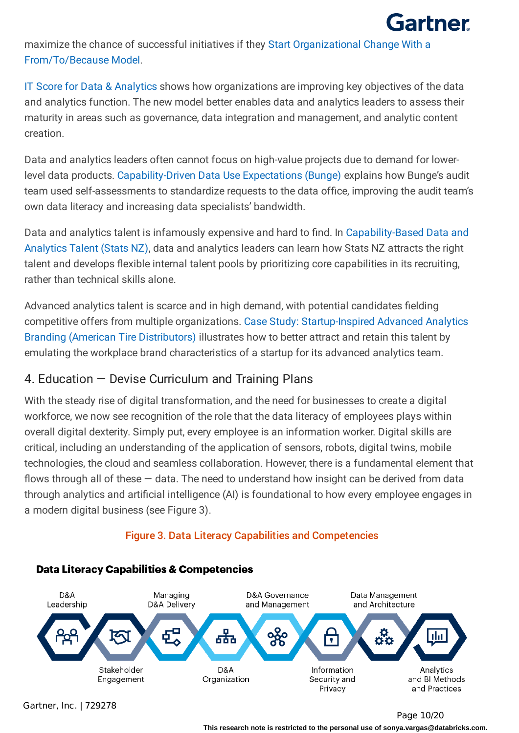

maximize the chance of successful initiatives if they Start Organizational Change With a From/To/Because Model.

IT Score for Data & Analytics shows how organizations are improving key objectives of the data and analytics function. The new model better enables data and analytics leaders to assess their maturity in areas such as governance, data integration and management, and analytic content creation.

Data and analytics leaders often cannot focus on high-value projects due to demand for lowerlevel data products. Capability-Driven Data Use Expectations (Bunge) explains how Bunge's audit team used self-assessments to standardize requests to the data office, improving the audit team's own data literacy and increasing data specialists' bandwidth.

Data and analytics talent is infamously expensive and hard to find. In Capability-Based Data and Analytics Talent (Stats NZ), data and analytics leaders can learn how Stats NZ attracts the right talent and develops flexible internal talent pools by prioritizing core capabilities in its recruiting, rather than technical skills alone.

Advanced analytics talent is scarce and in high demand, with potential candidates fielding competitive offers from multiple organizations. Case Study: Startup-Inspired Advanced Analytics Branding (American Tire Distributors) illustrates how to better attract and retain this talent by emulating the workplace brand characteristics of a startup for its advanced analytics team.

### 4. Education — Devise Curriculum and Training Plans

With the steady rise of digital transformation, and the need for businesses to create a digital workforce, we now see recognition of the role that the data literacy of employees plays within overall digital dexterity. Simply put, every employee is an information worker. Digital skills are critical, including an understanding of the application of sensors, robots, digital twins, mobile technologies, the cloud and seamless collaboration. However, there is a fundamental element that flows through all of these  $-$  data. The need to understand how insight can be derived from data through analytics and artificial intelligence (AI) is foundational to how every employee engages in a modern digital business (see Figure 3).

#### Figure 3. Data Literacy Capabilities and Competencies



#### **Data Literacy Capabilities & Competencies**

Gartner, Inc. | 729278

Page 10/20

**This research note is restricted to the personal use of sonya.vargas@databricks.com.**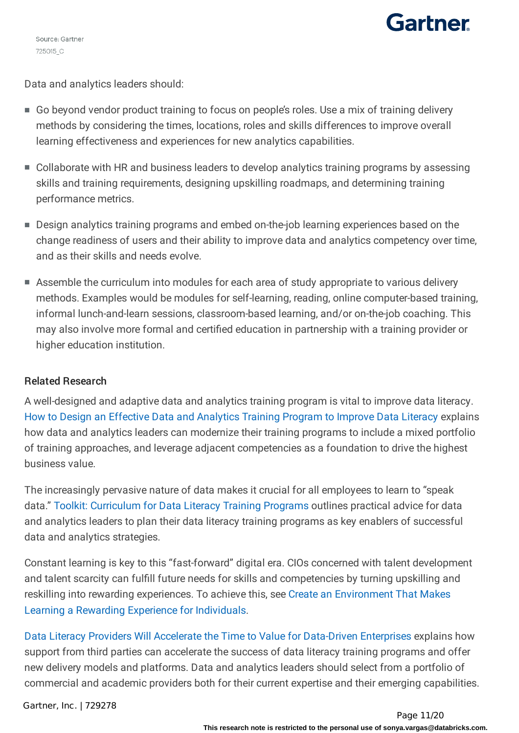Source: Gartner 725015\_C

# Gartner

Data and analytics leaders should:

- Go beyond vendor product training to focus on people's roles. Use a mix of training delivery methods by considering the times, locations, roles and skills differences to improve overall learning effectiveness and experiences for new analytics capabilities.
- Collaborate with HR and business leaders to develop analytics training programs by assessing skills and training requirements, designing upskilling roadmaps, and determining training performance metrics.
- Design analytics training programs and embed on-the-job learning experiences based on the change readiness of users and their ability to improve data and analytics competency over time, and as their skills and needs evolve.
- Assemble the curriculum into modules for each area of study appropriate to various delivery methods. Examples would be modules for self-learning, reading, online computer-based training, informal lunch-and-learn sessions, classroom-based learning, and/or on-the-job coaching. This may also involve more formal and certified education in partnership with a training provider or higher education institution.

#### Related Research

A well-designed and adaptive data and analytics training program is vital to improve data literacy. How to Design an Effective Data and Analytics Training Program to Improve Data Literacy explains how data and analytics leaders can modernize their training programs to include a mixed portfolio of training approaches, and leverage adjacent competencies as a foundation to drive the highest business value.

The increasingly pervasive nature of data makes it crucial for all employees to learn to "speak data." Toolkit: Curriculum for Data Literacy Training Programs outlines practical advice for data and analytics leaders to plan their data literacy training programs as key enablers of successful data and analytics strategies.

Constant learning is key to this "fast-forward" digital era. CIOs concerned with talent development and talent scarcity can fulfill future needs for skills and competencies by turning upskilling and reskilling into rewarding experiences. To achieve this, see Create an Environment That Makes Learning a Rewarding Experience for Individuals.

Data Literacy Providers Will Accelerate the Time to Value for Data-Driven Enterprises explains how support from third parties can accelerate the success of data literacy training programs and offer new delivery models and platforms. Data and analytics leaders should select from a portfolio of commercial and academic providers both for their current expertise and their emerging capabilities.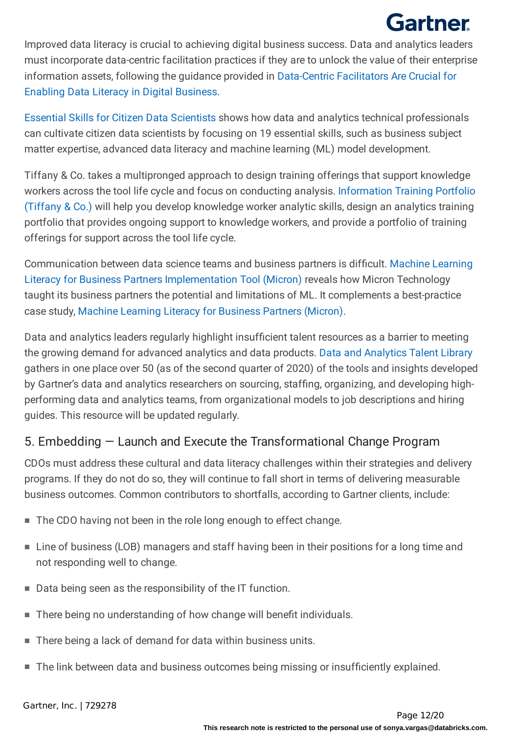Improved data literacy is crucial to achieving digital business success. Data and analytics leaders must incorporate data-centric facilitation practices if they are to unlock the value of their enterprise information assets, following the guidance provided in Data-Centric Facilitators Are Crucial for Enabling Data Literacy in Digital Business.

Essential Skills for Citizen Data Scientists shows how data and analytics technical professionals can cultivate citizen data scientists by focusing on 19 essential skills, such as business subject matter expertise, advanced data literacy and machine learning (ML) model development.

Tiffany & Co. takes a multipronged approach to design training offerings that support knowledge workers across the tool life cycle and focus on conducting analysis. Information Training Portfolio (Tiffany & Co.) will help you develop knowledge worker analytic skills, design an analytics training portfolio that provides ongoing support to knowledge workers, and provide a portfolio of training offerings for support across the tool life cycle.

Communication between data science teams and business partners is difficult. Machine Learning Literacy for Business Partners Implementation Tool (Micron) reveals how Micron Technology taught its business partners the potential and limitations of ML. It complements a best-practice case study, Machine Learning Literacy for Business Partners (Micron).

Data and analytics leaders regularly highlight insufficient talent resources as a barrier to meeting the growing demand for advanced analytics and data products. Data and Analytics Talent Library gathers in one place over 50 (as of the second quarter of 2020) of the tools and insights developed by Gartner's data and analytics researchers on sourcing, staffing, organizing, and developing highperforming data and analytics teams, from organizational models to job descriptions and hiring guides. This resource will be updated regularly.

### 5. Embedding — Launch and Execute the Transformational Change Program

CDOs must address these cultural and data literacy challenges within their strategies and delivery programs. If they do not do so, they will continue to fall short in terms of delivering measurable business outcomes. Common contributors to shortfalls, according to Gartner clients, include:

- The CDO having not been in the role long enough to effect change.
- Line of business (LOB) managers and staff having been in their positions for a long time and not responding well to change.
- Data being seen as the responsibility of the IT function.
- There being no understanding of how change will benefit individuals.
- There being a lack of demand for data within business units.
- The link between data and business outcomes being missing or insufficiently explained.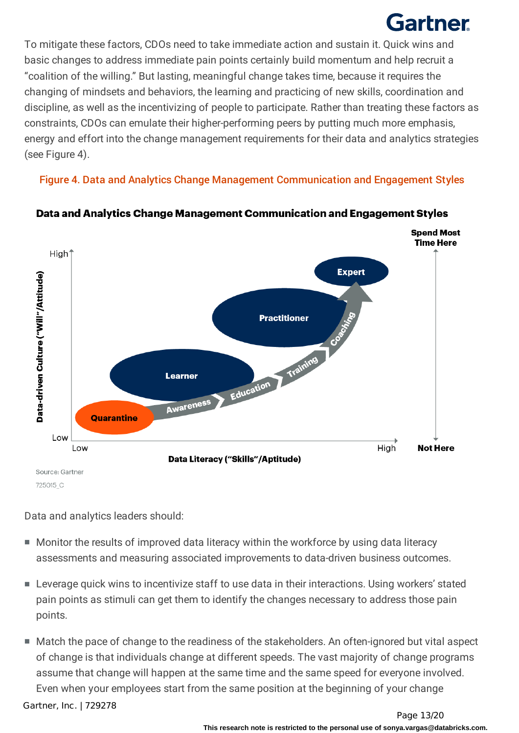To mitigate these factors, CDOs need to take immediate action and sustain it. Quick wins and basic changes to address immediate pain points certainly build momentum and help recruit a "coalition of the willing." But lasting, meaningful change takes time, because it requires the changing of mindsets and behaviors, the learning and practicing of new skills, coordination and discipline, as well as the incentivizing of people to participate. Rather than treating these factors as constraints, CDOs can emulate their higher-performing peers by putting much more emphasis, energy and effort into the change management requirements for their data and analytics strategies (see Figure 4).

Figure 4. Data and Analytics Change Management Communication and Engagement Styles



Data and Analytics Change Management Communication and Engagement Styles

Data and analytics leaders should:

- Monitor the results of improved data literacy within the workforce by using data literacy assessments and measuring associated improvements to data-driven business outcomes.
- Leverage quick wins to incentivize staff to use data in their interactions. Using workers' stated pain points as stimuli can get them to identify the changes necessary to address those pain points.
- Match the pace of change to the readiness of the stakeholders. An often-ignored but vital aspect of change is that individuals change at different speeds. The vast majority of change programs assume that change will happen at the same time and the same speed for everyone involved. Even when your employees start from the same position at the beginning of your change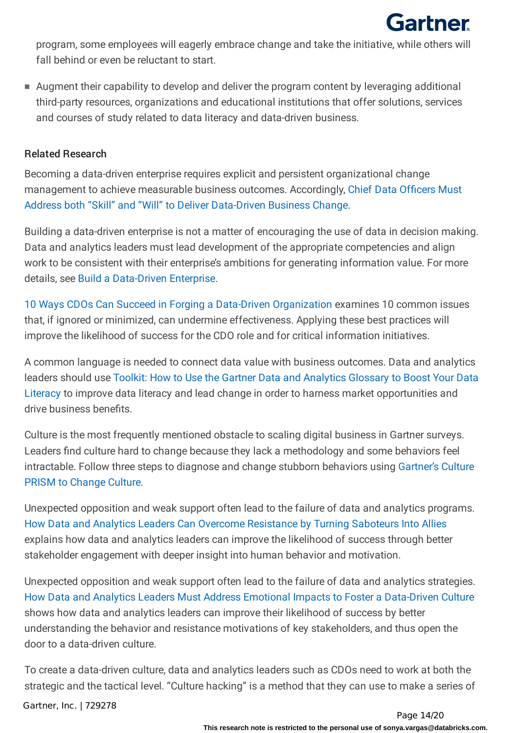

program, some employees will eagerly embrace change and take the initiative, while others will fall behind or even be reluctant to start.

■ Augment their capability to develop and deliver the program content by leveraging additional third-party resources, organizations and educational institutions that offer solutions, services and courses of study related to data literacy and data-driven business.

#### Related Research

Becoming a data-driven enterprise requires explicit and persistent organizational change management to achieve measurable business outcomes. Accordingly, Chief Data Officers Must Address both "Skill" and "Will" to Deliver Data-Driven Business Change.

Building a data-driven enterprise is not a matter of encouraging the use of data in decision making. Data and analytics leaders must lead development of the appropriate competencies and align work to be consistent with their enterprise's ambitions for generating information value. For more details, see Build a Data-Driven Enterprise.

10 Ways CDOs Can Succeed in Forging a Data-Driven Organization examines 10 common issues that, if ignored or minimized, can undermine effectiveness. Applying these best practices will improve the likelihood of success for the CDO role and for critical information initiatives.

A common language is needed to connect data value with business outcomes. Data and analytics leaders should use Toolkit: How to Use the Gartner Data and Analytics Glossary to Boost Your Data Literacy to improve data literacy and lead change in order to harness market opportunities and drive business benefits.

Culture is the most frequently mentioned obstacle to scaling digital business in Gartner surveys. Leaders find culture hard to change because they lack a methodology and some behaviors feel intractable. Follow three steps to diagnose and change stubborn behaviors using Gartner's Culture PRISM to Change Culture.

Unexpected opposition and weak support often lead to the failure of data and analytics programs. How Data and Analytics Leaders Can Overcome Resistance by Turning Saboteurs Into Allies explains how data and analytics leaders can improve the likelihood of success through better stakeholder engagement with deeper insight into human behavior and motivation.

Unexpected opposition and weak support often lead to the failure of data and analytics strategies. How Data and Analytics Leaders Must Address Emotional Impacts to Foster a Data-Driven Culture shows how data and analytics leaders can improve their likelihood of success by better understanding the behavior and resistance motivations of key stakeholders, and thus open the door to a data-driven culture.

To create a data-driven culture, data and analytics leaders such as CDOs need to work at both the strategic and the tactical level. "Culture hacking" is a method that they can use to make a series of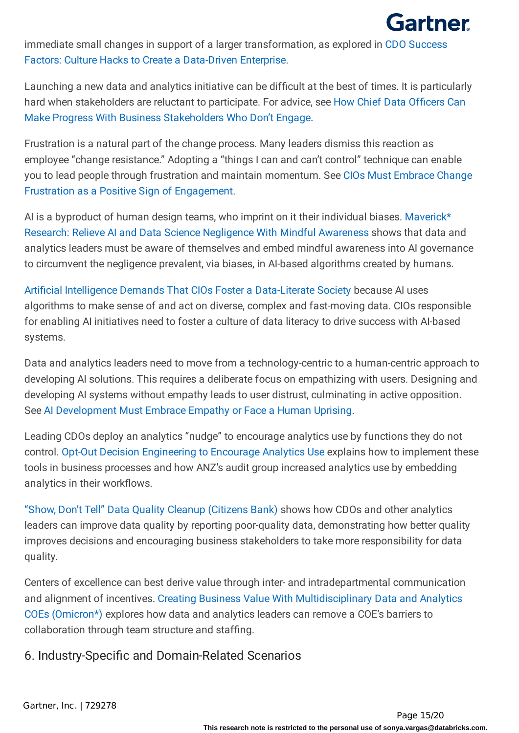

immediate small changes in support of a larger transformation, as explored in CDO Success Factors: Culture Hacks to Create a Data-Driven Enterprise.

Launching a new data and analytics initiative can be difficult at the best of times. It is particularly hard when stakeholders are reluctant to participate. For advice, see How Chief Data Officers Can Make Progress With Business Stakeholders Who Don't Engage.

Frustration is a natural part of the change process. Many leaders dismiss this reaction as employee "change resistance." Adopting a "things I can and can't control" technique can enable you to lead people through frustration and maintain momentum. See CIOs Must Embrace Change Frustration as a Positive Sign of Engagement.

AI is a byproduct of human design teams, who imprint on it their individual biases. Maverick\* Research: Relieve AI and Data Science Negligence With Mindful Awareness shows that data and analytics leaders must be aware of themselves and embed mindful awareness into AI governance to circumvent the negligence prevalent, via biases, in AI-based algorithms created by humans.

Artificial Intelligence Demands That CIOs Foster a Data-Literate Society because AI uses algorithms to make sense of and act on diverse, complex and fast-moving data. CIOs responsible for enabling AI initiatives need to foster a culture of data literacy to drive success with AI-based systems.

Data and analytics leaders need to move from a technology-centric to a human-centric approach to developing AI solutions. This requires a deliberate focus on empathizing with users. Designing and developing AI systems without empathy leads to user distrust, culminating in active opposition. See AI Development Must Embrace Empathy or Face a Human Uprising.

Leading CDOs deploy an analytics "nudge" to encourage analytics use by functions they do not control. Opt-Out Decision Engineering to Encourage Analytics Use explains how to implement these tools in business processes and how ANZ's audit group increased analytics use by embedding analytics in their workflows.

"Show, Don't Tell" Data Quality Cleanup (Citizens Bank) shows how CDOs and other analytics leaders can improve data quality by reporting poor-quality data, demonstrating how better quality improves decisions and encouraging business stakeholders to take more responsibility for data quality.

Centers of excellence can best derive value through inter- and intradepartmental communication and alignment of incentives. Creating Business Value With Multidisciplinary Data and Analytics COEs (Omicron\*) explores how data and analytics leaders can remove a COE's barriers to collaboration through team structure and staffing.

6. Industry-Specific and Domain-Related Scenarios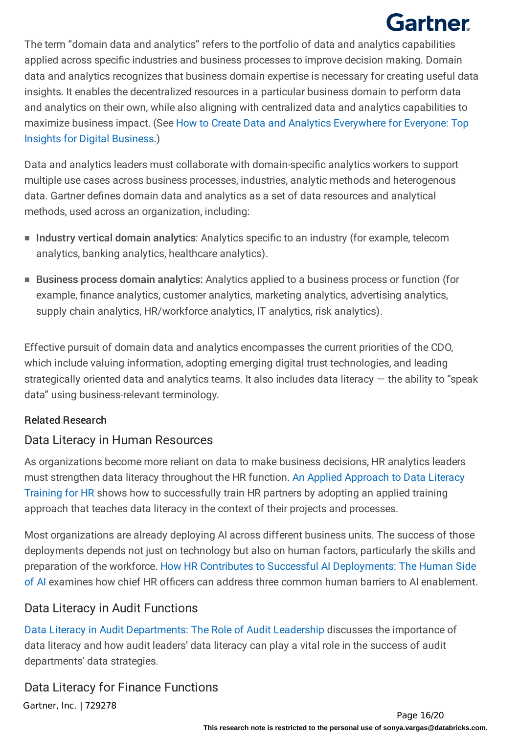The term "domain data and analytics" refers to the portfolio of data and analytics capabilities applied across specific industries and business processes to improve decision making. Domain data and analytics recognizes that business domain expertise is necessary for creating useful data insights. It enables the decentralized resources in a particular business domain to perform data and analytics on their own, while also aligning with centralized data and analytics capabilities to maximize business impact. (See How to Create Data and Analytics Everywhere for Everyone: Top Insights for Digital Business.)

Data and analytics leaders must collaborate with domain-specific analytics workers to support multiple use cases across business processes, industries, analytic methods and heterogenous data. Gartner defines domain data and analytics as a set of data resources and analytical methods, used across an organization, including:

- Industry vertical domain analytics: Analytics specific to an industry (for example, telecom analytics, banking analytics, healthcare analytics).
- Business process domain analytics: Analytics applied to a business process or function (for example, finance analytics, customer analytics, marketing analytics, advertising analytics, supply chain analytics, HR/workforce analytics, IT analytics, risk analytics).

Effective pursuit of domain data and analytics encompasses the current priorities of the CDO, which include valuing information, adopting emerging digital trust technologies, and leading strategically oriented data and analytics teams. It also includes data literacy  $-$  the ability to "speak data" using business-relevant terminology.

### Related Research

### Data Literacy in Human Resources

As organizations become more reliant on data to make business decisions, HR analytics leaders must strengthen data literacy throughout the HR function. An Applied Approach to Data Literacy Training for HR shows how to successfully train HR partners by adopting an applied training approach that teaches data literacy in the context of their projects and processes.

Most organizations are already deploying AI across different business units. The success of those deployments depends not just on technology but also on human factors, particularly the skills and preparation of the workforce. How HR Contributes to Successful AI Deployments: The Human Side of AI examines how chief HR officers can address three common human barriers to AI enablement.

### Data Literacy in Audit Functions

Data Literacy in Audit Departments: The Role of Audit Leadership discusses the importance of data literacy and how audit leaders' data literacy can play a vital role in the success of audit departments' data strategies.

### Data Literacy for Finance Functions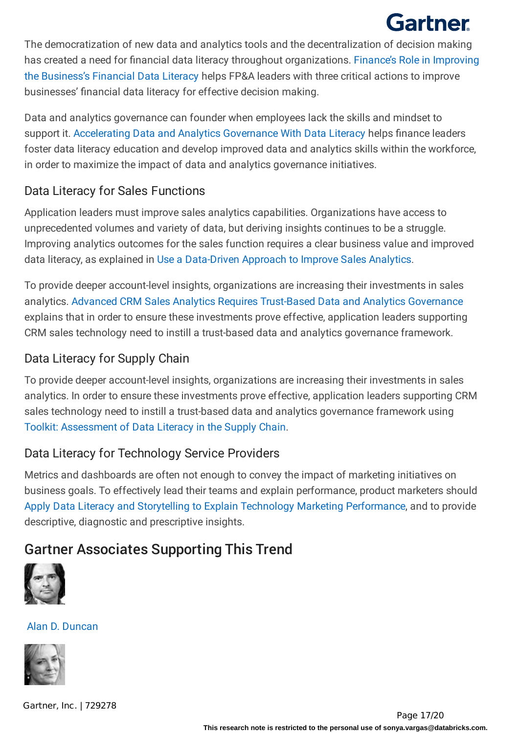The democratization of new data and analytics tools and the decentralization of decision making has created a need for financial data literacy throughout organizations. Finance's Role in Improving the Business's Financial Data Literacy helps FP&A leaders with three critical actions to improve businesses' financial data literacy for effective decision making.

Data and analytics governance can founder when employees lack the skills and mindset to support it. Accelerating Data and Analytics Governance With Data Literacy helps finance leaders foster data literacy education and develop improved data and analytics skills within the workforce, in order to maximize the impact of data and analytics governance initiatives.

## Data Literacy for Sales Functions

Application leaders must improve sales analytics capabilities. Organizations have access to unprecedented volumes and variety of data, but deriving insights continues to be a struggle. Improving analytics outcomes for the sales function requires a clear business value and improved data literacy, as explained in Use a Data-Driven Approach to Improve Sales Analytics.

To provide deeper account-level insights, organizations are increasing their investments in sales analytics. Advanced CRM Sales Analytics Requires Trust-Based Data and Analytics Governance explains that in order to ensure these investments prove effective, application leaders supporting CRM sales technology need to instill a trust-based data and analytics governance framework.

## Data Literacy for Supply Chain

To provide deeper account-level insights, organizations are increasing their investments in sales analytics. In order to ensure these investments prove effective, application leaders supporting CRM sales technology need to instill a trust-based data and analytics governance framework using Toolkit: Assessment of Data Literacy in the Supply Chain.

## Data Literacy for Technology Service Providers

Metrics and dashboards are often not enough to convey the impact of marketing initiatives on business goals. To effectively lead their teams and explain performance, product marketers should Apply Data Literacy and Storytelling to Explain Technology Marketing Performance, and to provide descriptive, diagnostic and prescriptive insights.

## Gartner Associates Supporting This Trend



Alan D. [Duncan](https://www.gartner.com/analyst/51402)

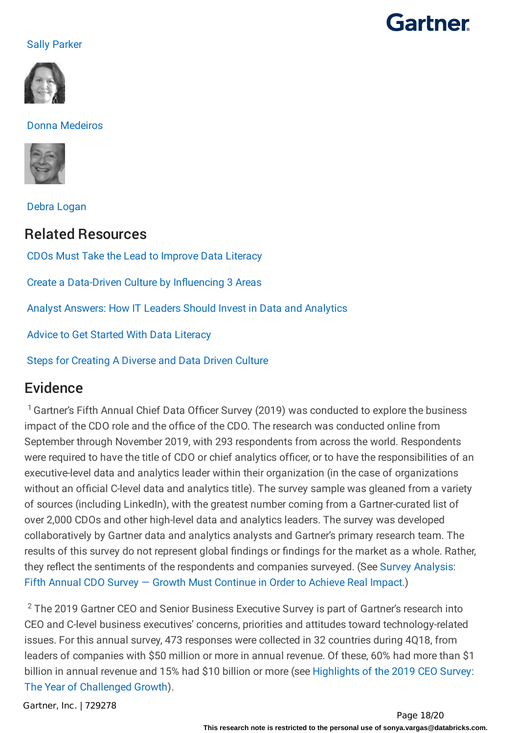#### Sally [Parker](https://www.gartner.com/analyst/62018)



#### Donna [Medeiros](https://www.gartner.com/analyst/94415)



Debra [Logan](https://www.gartner.com/analyst/15893)

### Related Resources

CDOs Must Take the Lead to [Improve](https://www.gartner.com/smarterwithgartner/cdos-must-take-the-lead-to-improve-data-literacy/) Data Literacy

Create a [Data-Driven](https://www.gartner.com/smarterwithgartner/create-a-data-driven-culture-by-influencing-3-areas/) Culture by Influencing 3 Areas

Analyst Answers: How IT Leaders Should Invest in Data and [Analytics](https://www.gartner.com/smarterwithgartner/analyst-answers-how-it-leaders-should-invest-in-data-and-analytics/)

Advice to Get Started With Data [Literacy](https://www.gartner.com/webinar/31201/player)

Steps for [Creating](https://www.gartner.com/webinar/3883763) A Diverse and Data Driven Culture

## Evidence

<sup>1</sup> Gartner's Fifth Annual Chief Data Officer Survey (2019) was conducted to explore the business impact of the CDO role and the office of the CDO. The research was conducted online from September through November 2019, with 293 respondents from across the world. Respondents were required to have the title of CDO or chief analytics officer, or to have the responsibilities of an executive-level data and analytics leader within their organization (in the case of organizations without an official C-level data and analytics title). The survey sample was gleaned from a variety of sources (including LinkedIn), with the greatest number coming from a Gartner-curated list of over 2,000 CDOs and other high-level data and analytics leaders. The survey was developed collaboratively by Gartner data and analytics analysts and Gartner's primary research team. The results of this survey do not represent global findings or findings for the market as a whole. Rather, they reflect the sentiments of the respondents and companies surveyed. (See Survey Analysis: Fifth Annual CDO Survey — Growth Must Continue in Order to Achieve Real Impact.)

 $2$  The 2019 Gartner CEO and Senior Business Executive Survey is part of Gartner's research into CEO and C-level business executives' concerns, priorities and attitudes toward technology-related issues. For this annual survey, 473 responses were collected in 32 countries during 4Q18, from leaders of companies with \$50 million or more in annual revenue. Of these, 60% had more than \$1 billion in annual revenue and 15% had \$10 billion or more (see Highlights of the 2019 CEO Survey: The Year of Challenged Growth).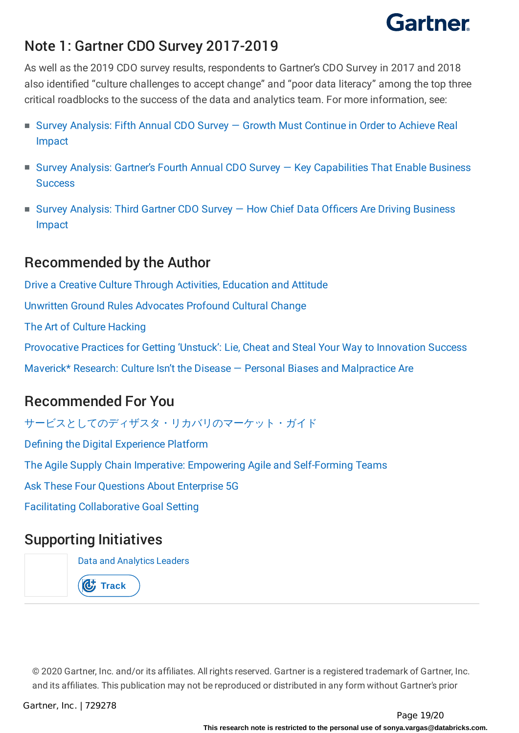## Note 1: Gartner CDO Survey 2017-2019

As well as the 2019 CDO survey results, respondents to Gartner's CDO Survey in 2017 and 2018 also identified "culture challenges to accept change" and "poor data literacy" among the top three critical roadblocks to the success of the data and analytics team. For more information, see:

- Survey Analysis: Fifth Annual CDO Survey Growth Must Continue in Order to Achieve Real Impact
- Survey Analysis: Gartner's Fourth Annual CDO Survey Key Capabilities That Enable Business **Success**
- Survey Analysis: Third Gartner CDO Survey How Chief Data Officers Are Driving Business Impact

## Recommended by the Author

Drive a Creative Culture Through Activities, [Education](https://www.gartner.com/document/3344117?ref=authbottomrec&refval=3991368) and Attitude Unwritten Ground Rules [Advocates](https://www.gartner.com/document/3086021?ref=authbottomrec&refval=3991368) Profound Cultural Change The Art of Culture [Hacking](https://www.gartner.com/document/3849463?ref=authbottomrec&refval=3991368) [Provocative](https://www.gartner.com/document/3889167?ref=authbottomrec&refval=3991368) Practices for Getting 'Unstuck': Lie, Cheat and Steal Your Way to Innovation Success Maverick\* Research: Culture Isn't the Disease — Personal Biases and [Malpractice](https://www.gartner.com/document/3975521?ref=authbottomrec&refval=3991368) Are

## Recommended For You

[サービスとしてのディザスタ・リカバリのマーケット・ガイド](https://www.gartner.com/document/3990900?ref=algobottomrec&refval=3991368)

Defining the Digital [Experience](https://www.gartner.com/document/3920395?ref=algobottomrec&refval=3991368) Platform

The Agile Supply Chain Imperative: Empowering Agile and [Self-Forming](https://www.gartner.com/document/3933987?ref=algobottomrec&refval=3991368) Teams

Ask These Four [Questions](https://www.gartner.com/document/3939748?ref=algobottomrec&refval=3991368) About Enterprise 5G

Facilitating [Collaborative](https://www.gartner.com/document/3939787?ref=algobottomrec&refval=3991368) Goal Setting

## Supporting Initiatives

Data and [Analytics](https://www.gartner.com/explore/initiatives/overview/9447?ref=doc-conend) Leaders

*C*, Track

© 2020 Gartner, Inc. and/or its affiliates. All rights reserved. Gartner is a registered trademark of Gartner, Inc. and its affiliates. This publication may not be reproduced or distributed in any form without Gartner's prior